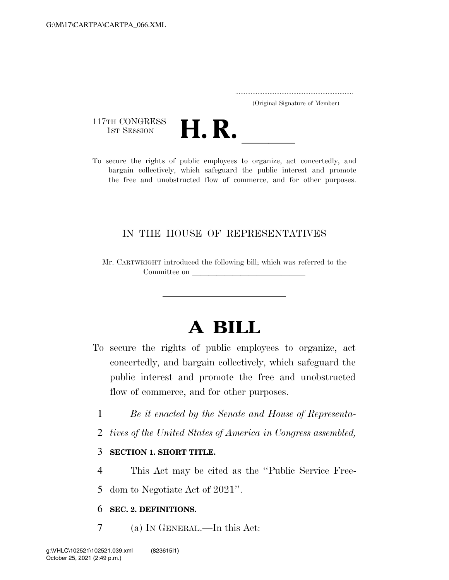..................................................................... (Original Signature of Member)

117TH CONGRESS<br>1st Session



117TH CONGRESS<br>1st SESSION **H. R.** <u>Indicess to organize</u>, act concertedly, and<br>To secure the rights of public employees to organize, act concertedly, and bargain collectively, which safeguard the public interest and promote the free and unobstructed flow of commerce, and for other purposes.

# IN THE HOUSE OF REPRESENTATIVES

Mr. CARTWRIGHT introduced the following bill; which was referred to the Committee on

# **A BILL**

- To secure the rights of public employees to organize, act concertedly, and bargain collectively, which safeguard the public interest and promote the free and unobstructed flow of commerce, and for other purposes.
	- 1 *Be it enacted by the Senate and House of Representa-*
	- 2 *tives of the United States of America in Congress assembled,*

## 3 **SECTION 1. SHORT TITLE.**

4 This Act may be cited as the ''Public Service Free-

5 dom to Negotiate Act of 2021''.

## 6 **SEC. 2. DEFINITIONS.**

7 (a) IN GENERAL.—In this Act: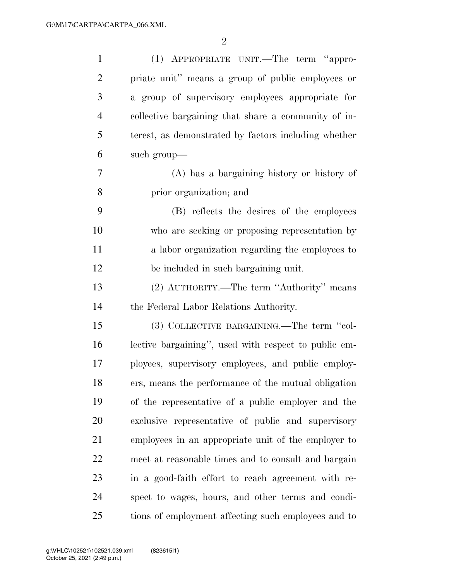| $\mathbf{1}$   | (1) APPROPRIATE UNIT.—The term "appro-               |
|----------------|------------------------------------------------------|
| $\overline{2}$ | priate unit" means a group of public employees or    |
| 3              | a group of supervisory employees appropriate for     |
| $\overline{4}$ | collective bargaining that share a community of in-  |
| 5              | terest, as demonstrated by factors including whether |
| 6              | such group—                                          |
| 7              | (A) has a bargaining history or history of           |
| 8              | prior organization; and                              |
| 9              | (B) reflects the desires of the employees            |
| 10             | who are seeking or proposing representation by       |
| 11             | a labor organization regarding the employees to      |
| 12             | be included in such bargaining unit.                 |
| 13             | (2) AUTHORITY.—The term "Authority" means            |
| 14             | the Federal Labor Relations Authority.               |
| 15             | (3) COLLECTIVE BARGAINING.—The term "col-            |
| 16             | lective bargaining", used with respect to public em- |
| 17             | ployees, supervisory employees, and public employ-   |
| 18             | ers, means the performance of the mutual obligation  |
| 19             | of the representative of a public employer and the   |
| 20             | exclusive representative of public and supervisory   |
| 21             | employees in an appropriate unit of the employer to  |
| 22             | meet at reasonable times and to consult and bargain  |
| 23             | in a good-faith effort to reach agreement with re-   |
| 24             | spect to wages, hours, and other terms and condi-    |
| 25             | tions of employment affecting such employees and to  |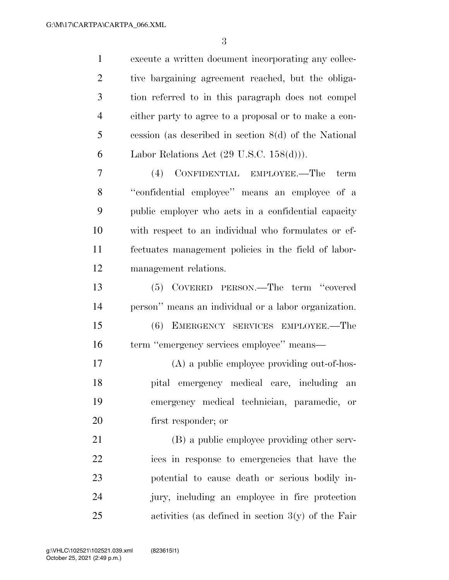execute a written document incorporating any collec- tive bargaining agreement reached, but the obliga- tion referred to in this paragraph does not compel either party to agree to a proposal or to make a con- cession (as described in section 8(d) of the National 6 Labor Relations Act  $(29 \text{ U.S.C. } 158(d))$ . (4) CONFIDENTIAL EMPLOYEE.—The term ''confidential employee'' means an employee of a public employer who acts in a confidential capacity with respect to an individual who formulates or ef- fectuates management policies in the field of labor- management relations. (5) COVERED PERSON.—The term ''covered person'' means an individual or a labor organization. (6) EMERGENCY SERVICES EMPLOYEE.—The

 term ''emergency services employee'' means— (A) a public employee providing out-of-hos- pital emergency medical care, including an emergency medical technician, paramedic, or

first responder; or

 (B) a public employee providing other serv- ices in response to emergencies that have the potential to cause death or serious bodily in- jury, including an employee in fire protection activities (as defined in section 3(y) of the Fair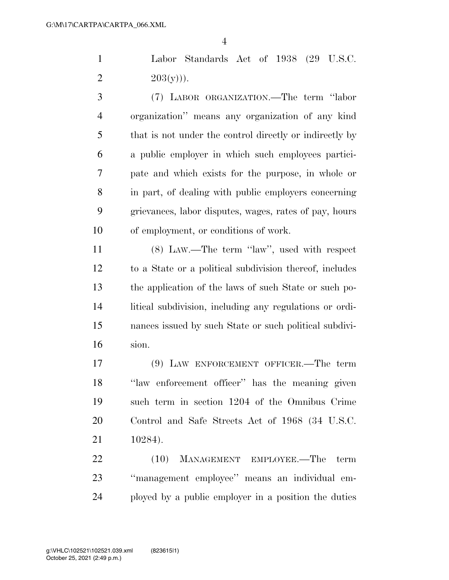Labor Standards Act of 1938 (29 U.S.C. 2  $203(y)$ ).

 (7) LABOR ORGANIZATION.—The term ''labor organization'' means any organization of any kind that is not under the control directly or indirectly by a public employer in which such employees partici- pate and which exists for the purpose, in whole or in part, of dealing with public employers concerning grievances, labor disputes, wages, rates of pay, hours of employment, or conditions of work.

 (8) LAW.—The term ''law'', used with respect to a State or a political subdivision thereof, includes the application of the laws of such State or such po- litical subdivision, including any regulations or ordi- nances issued by such State or such political subdivi-sion.

 (9) LAW ENFORCEMENT OFFICER.—The term ''law enforcement officer'' has the meaning given such term in section 1204 of the Omnibus Crime Control and Safe Streets Act of 1968 (34 U.S.C. 10284).

22 (10) MANAGEMENT EMPLOYEE.—The term ''management employee'' means an individual em-ployed by a public employer in a position the duties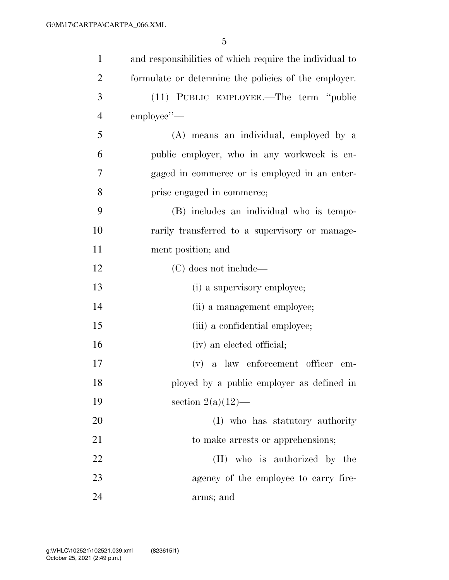| $\mathbf{1}$   | and responsibilities of which require the individual to |
|----------------|---------------------------------------------------------|
| $\overline{2}$ | formulate or determine the policies of the employer.    |
| 3              | (11) PUBLIC EMPLOYEE.—The term "public                  |
| $\overline{4}$ | employee"-                                              |
| 5              | (A) means an individual, employed by a                  |
| 6              | public employer, who in any workweek is en-             |
| 7              | gaged in commerce or is employed in an enter-           |
| 8              | prise engaged in commerce;                              |
| 9              | (B) includes an individual who is tempo-                |
| 10             | rarily transferred to a supervisory or manage-          |
| 11             | ment position; and                                      |
| 12             | (C) does not include—                                   |
| 13             | (i) a supervisory employee;                             |
| 14             | (ii) a management employee;                             |
| 15             | (iii) a confidential employee;                          |
| 16             | (iv) an elected official;                               |
| 17             | $(v)$ a law enforcement officer<br>em-                  |
| 18             | ployed by a public employer as defined in               |
| 19             | section $2(a)(12)$ —                                    |
| 20             | (I) who has statutory authority                         |
| 21             | to make arrests or apprehensions;                       |
| 22             | (II) who is authorized by the                           |
| 23             | agency of the employee to carry fire-                   |
| 24             | arms; and                                               |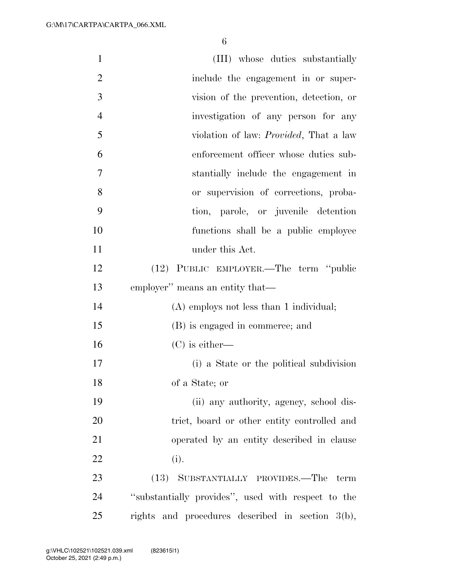| $\mathbf{1}$   | (III) whose duties substantially                    |
|----------------|-----------------------------------------------------|
| $\overline{2}$ | include the engagement in or super-                 |
| 3              | vision of the prevention, detection, or             |
| $\overline{4}$ | investigation of any person for any                 |
| 5              | violation of law: <i>Provided</i> , That a law      |
| 6              | enforcement officer whose duties sub-               |
| 7              | stantially include the engagement in                |
| 8              | or supervision of corrections, proba-               |
| 9              | tion, parole, or juvenile detention                 |
| 10             | functions shall be a public employee                |
| 11             | under this Act.                                     |
| 12             | (12) PUBLIC EMPLOYER.—The term "public              |
| 13             | employer" means an entity that—                     |
| 14             | $(A)$ employs not less than 1 individual;           |
| 15             | (B) is engaged in commerce; and                     |
| 16             | $(C)$ is either—                                    |
| 17             | (i) a State or the political subdivision            |
| 18             | of a State; or                                      |
| 19             | (ii) any authority, agency, school dis-             |
| 20             | trict, board or other entity controlled and         |
| 21             | operated by an entity described in clause           |
| 22             | (i).                                                |
| 23             | (13) SUBSTANTIALLY PROVIDES.—The term               |
| 24             | "substantially provides", used with respect to the  |
| 25             | rights and procedures described in section $3(b)$ , |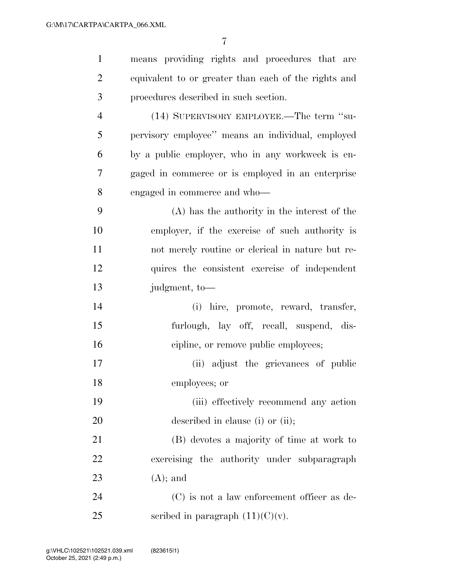| $\mathbf{1}$   | means providing rights and procedures that are       |
|----------------|------------------------------------------------------|
| $\overline{2}$ | equivalent to or greater than each of the rights and |
| 3              | procedures described in such section.                |
| $\overline{4}$ | (14) SUPERVISORY EMPLOYEE.—The term "su-             |
| 5              | pervisory employee" means an individual, employed    |
| 6              | by a public employer, who in any workweek is en-     |
| 7              | gaged in commerce or is employed in an enterprise    |
| 8              | engaged in commerce and who—                         |
| 9              | $(A)$ has the authority in the interest of the       |
| 10             | employer, if the exercise of such authority is       |
| 11             | not merely routine or clerical in nature but re-     |
| 12             | quires the consistent exercise of independent        |
| 13             | judgment, to-                                        |
| 14             | (i) hire, promote, reward, transfer,                 |
| 15             | furlough, lay off, recall, suspend, dis-             |
| 16             | cipline, or remove public employees;                 |
| 17             | (ii) adjust the grievances of public                 |
| 18             | employees; or                                        |
| 19             | (iii) effectively recommend any action               |
| 20             | described in clause (i) or (ii);                     |
| 21             | (B) devotes a majority of time at work to            |
| 22             | exercising the authority under subparagraph          |
| 23             | $(A)$ ; and                                          |
| 24             | (C) is not a law enforcement officer as de-          |
| 25             | scribed in paragraph $(11)(C)(v)$ .                  |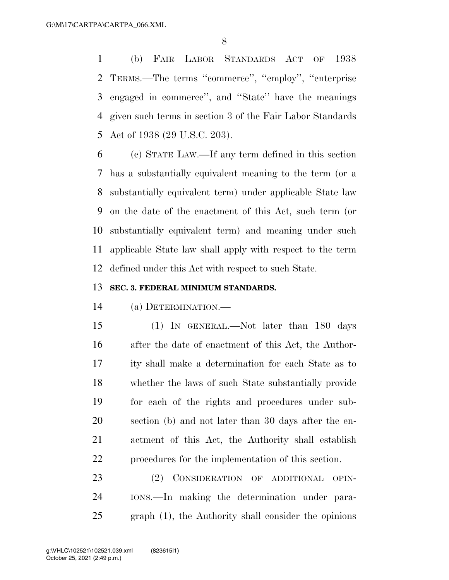(b) FAIR LABOR STANDARDS ACT OF 1938 TERMS.—The terms ''commerce'', ''employ'', ''enterprise engaged in commerce'', and ''State'' have the meanings given such terms in section 3 of the Fair Labor Standards Act of 1938 (29 U.S.C. 203).

 (c) STATE LAW.—If any term defined in this section has a substantially equivalent meaning to the term (or a substantially equivalent term) under applicable State law on the date of the enactment of this Act, such term (or substantially equivalent term) and meaning under such applicable State law shall apply with respect to the term defined under this Act with respect to such State.

#### **SEC. 3. FEDERAL MINIMUM STANDARDS.**

(a) DETERMINATION.—

 (1) IN GENERAL.—Not later than 180 days after the date of enactment of this Act, the Author- ity shall make a determination for each State as to whether the laws of such State substantially provide for each of the rights and procedures under sub- section (b) and not later than 30 days after the en- actment of this Act, the Authority shall establish procedures for the implementation of this section.

 (2) CONSIDERATION OF ADDITIONAL OPIN- IONS.—In making the determination under para-graph (1), the Authority shall consider the opinions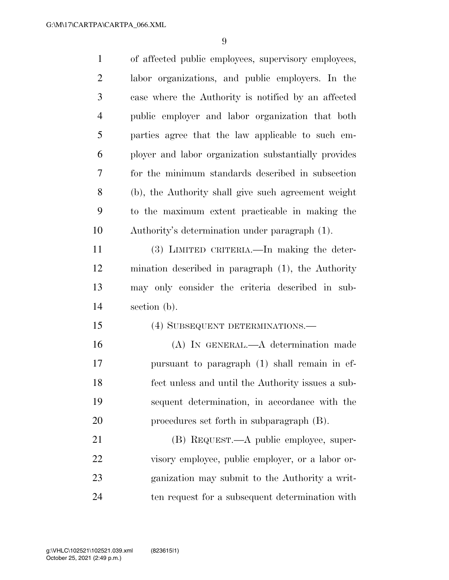| $\mathbf{1}$   | of affected public employees, supervisory employees, |
|----------------|------------------------------------------------------|
| $\overline{2}$ | labor organizations, and public employers. In the    |
| 3              | case where the Authority is notified by an affected  |
| $\overline{4}$ | public employer and labor organization that both     |
| 5              | parties agree that the law applicable to such em-    |
| 6              | ployer and labor organization substantially provides |
| 7              | for the minimum standards described in subsection    |
| 8              | (b), the Authority shall give such agreement weight  |
| 9              | to the maximum extent practicable in making the      |
| 10             | Authority's determination under paragraph (1).       |
| 11             | (3) LIMITED CRITERIA.—In making the deter-           |
| 12             | mination described in paragraph (1), the Authority   |
| 13             | may only consider the criteria described in sub-     |
| 14             | section (b).                                         |
| 15             | (4) SUBSEQUENT DETERMINATIONS.—                      |
| 16             | (A) IN GENERAL.—A determination made                 |
| 17             | pursuant to paragraph (1) shall remain in ef-        |
| 18             | fect unless and until the Authority issues a sub-    |
| 19             | sequent determination, in accordance with the        |
| 20             | procedures set forth in subparagraph (B).            |
| 21             | (B) REQUEST.—A public employee, super-               |
| 22             | visory employee, public employer, or a labor or-     |
| 23             | ganization may submit to the Authority a writ-       |
| 24             | ten request for a subsequent determination with      |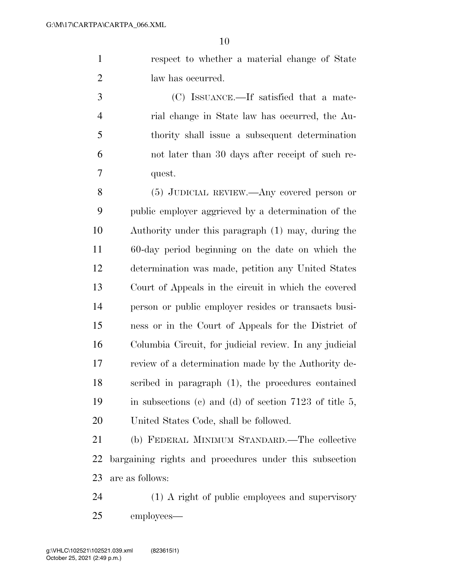respect to whether a material change of State 2 law has occurred.

 (C) ISSUANCE.—If satisfied that a mate- rial change in State law has occurred, the Au- thority shall issue a subsequent determination not later than 30 days after receipt of such re-quest.

 (5) JUDICIAL REVIEW.—Any covered person or public employer aggrieved by a determination of the Authority under this paragraph (1) may, during the 60-day period beginning on the date on which the determination was made, petition any United States Court of Appeals in the circuit in which the covered person or public employer resides or transacts busi- ness or in the Court of Appeals for the District of Columbia Circuit, for judicial review. In any judicial review of a determination made by the Authority de- scribed in paragraph (1), the procedures contained in subsections (c) and (d) of section 7123 of title 5, United States Code, shall be followed.

 (b) FEDERAL MINIMUM STANDARD.—The collective bargaining rights and procedures under this subsection are as follows:

 (1) A right of public employees and supervisory employees—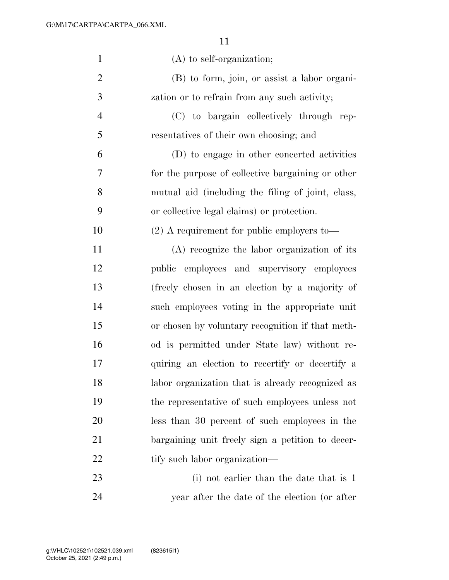| $\mathbf{1}$   | $(A)$ to self-organization;                       |
|----------------|---------------------------------------------------|
| $\overline{2}$ | (B) to form, join, or assist a labor organi-      |
| 3              | zation or to refrain from any such activity;      |
| $\overline{4}$ | (C) to bargain collectively through rep-          |
| 5              | resentatives of their own choosing; and           |
| 6              | (D) to engage in other concerted activities       |
| 7              | for the purpose of collective bargaining or other |
| 8              | mutual aid (including the filing of joint, class, |
| 9              | or collective legal claims) or protection.        |
| 10             | $(2)$ A requirement for public employers to-      |
| 11             | $(A)$ recognize the labor organization of its     |
| 12             | public employees and supervisory employees        |
| 13             | (freely chosen in an election by a majority of    |
| 14             | such employees voting in the appropriate unit     |
| 15             | or chosen by voluntary recognition if that meth-  |
| 16             | od is permitted under State law) without re-      |
| 17             | quiring an election to recertify or decertify a   |
| 18             | labor organization that is already recognized as  |
| 19             | the representative of such employees unless not   |
| 20             | less than 30 percent of such employees in the     |
| 21             | bargaining unit freely sign a petition to decer-  |
| 22             | tify such labor organization—                     |
| 23             | (i) not earlier than the date that is 1           |
| 24             | year after the date of the election (or after     |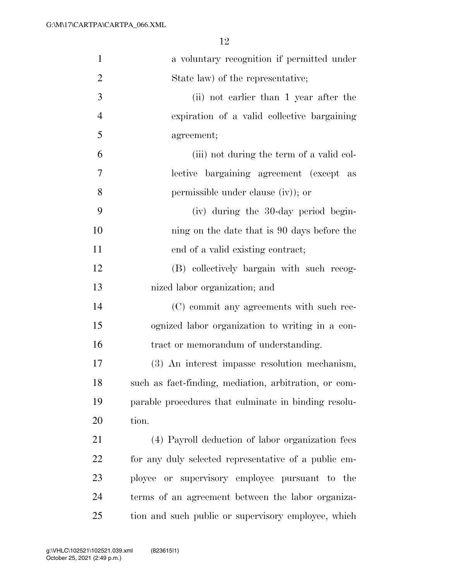| $\mathbf{1}$   | a voluntary recognition if permitted under            |
|----------------|-------------------------------------------------------|
| $\overline{2}$ | State law) of the representative;                     |
| 3              | (ii) not earlier than 1 year after the                |
| $\overline{4}$ | expiration of a valid collective bargaining           |
| 5              | agreement;                                            |
| 6              | (iii) not during the term of a valid col-             |
| $\overline{7}$ | lective bargaining agreement (except as               |
| 8              | permissible under clause (iv)); or                    |
| 9              | (iv) during the 30-day period begin-                  |
| 10             | ning on the date that is 90 days before the           |
| 11             | end of a valid existing contract;                     |
| 12             | (B) collectively bargain with such recog-             |
| 13             | nized labor organization; and                         |
| 14             | (C) commit any agreements with such rec-              |
| 15             | ognized labor organization to writing in a con-       |
| 16             | tract or memorandum of understanding.                 |
| 17             | (3) An interest impasse resolution mechanism,         |
| 18             | such as fact-finding, mediation, arbitration, or com- |
| 19             | parable procedures that culminate in binding resolu-  |
| 20             | tion.                                                 |
| 21             | (4) Payroll deduction of labor organization fees      |
| 22             | for any duly selected representative of a public em-  |
| 23             | ployee or supervisory employee pursuant to the        |
| 24             | terms of an agreement between the labor organiza-     |
| 25             | tion and such public or supervisory employee, which   |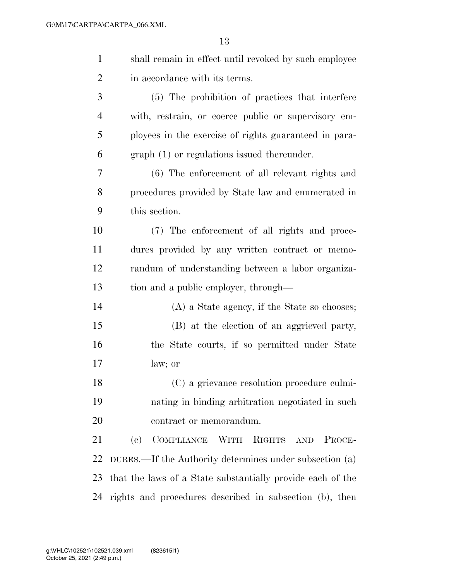| $\mathbf{1}$   | shall remain in effect until revoked by such employee      |
|----------------|------------------------------------------------------------|
| $\overline{2}$ | in accordance with its terms.                              |
| 3              | (5) The prohibition of practices that interfere            |
| $\overline{4}$ | with, restrain, or coerce public or supervisory em-        |
| 5              | ployees in the exercise of rights guaranteed in para-      |
| 6              | graph (1) or regulations issued thereunder.                |
| 7              | $(6)$ The enforcement of all relevant rights and           |
| 8              | procedures provided by State law and enumerated in         |
| 9              | this section.                                              |
| 10             | (7) The enforcement of all rights and proce-               |
| 11             | dures provided by any written contract or memo-            |
| 12             | randum of understanding between a labor organiza-          |
| 13             | tion and a public employer, through—                       |
| 14             | $(A)$ a State agency, if the State so chooses;             |
| 15             | (B) at the election of an aggrieved party,                 |
| 16             | the State courts, if so permitted under State              |
| 17             | law; or                                                    |
| 18             | (C) a grievance resolution procedure culmi-                |
| 19             | nating in binding arbitration negotiated in such           |
| 20             | contract or memorandum.                                    |
| 21             | COMPLIANCE WITH RIGHTS<br>(e)<br>AND<br>PROCE-             |
| 22             | DURES.—If the Authority determines under subsection (a)    |
| 23             | that the laws of a State substantially provide each of the |
| 24             | rights and procedures described in subsection (b), then    |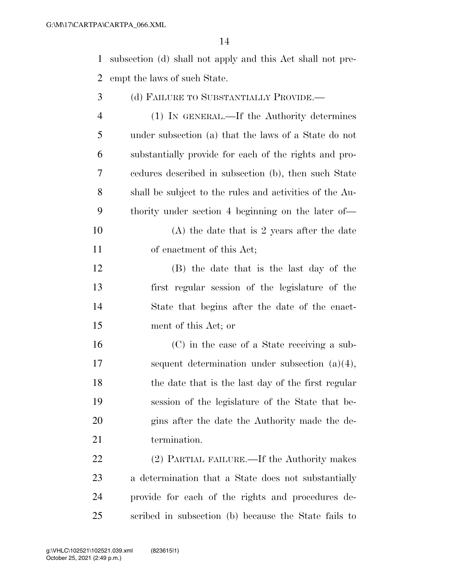subsection (d) shall not apply and this Act shall not pre-empt the laws of such State.

| 3              | (d) FAILURE TO SUBSTANTIALLY PROVIDE.—                  |
|----------------|---------------------------------------------------------|
| $\overline{4}$ | (1) IN GENERAL.—If the Authority determines             |
| 5              | under subsection (a) that the laws of a State do not    |
| 6              | substantially provide for each of the rights and pro-   |
| 7              | cedures described in subsection (b), then such State    |
| 8              | shall be subject to the rules and activities of the Au- |
| 9              | thority under section 4 beginning on the later of—      |
| 10             | $(A)$ the date that is 2 years after the date           |
| 11             | of enactment of this Act;                               |
| 12             | (B) the date that is the last day of the                |
| 13             | first regular session of the legislature of the         |
| 14             | State that begins after the date of the enact-          |
| 15             | ment of this Act; or                                    |
| 16             | (C) in the case of a State receiving a sub-             |
| 17             | sequent determination under subsection $(a)(4)$ ,       |
| 18             | the date that is the last day of the first regular      |
| 19             | session of the legislature of the State that be-        |
| 20             | gins after the date the Authority made the de-          |
| 21             | termination.                                            |
| 22             | (2) PARTIAL FAILURE.—If the Authority makes             |
| 23             | a determination that a State does not substantially     |
| 24             | provide for each of the rights and procedures de-       |

scribed in subsection (b) because the State fails to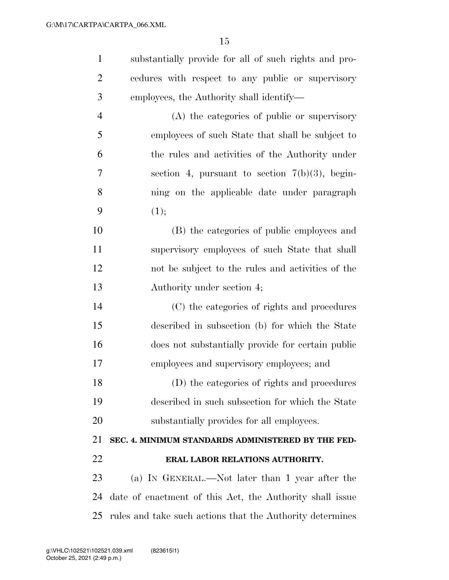substantially provide for all of such rights and pro-

| $\overline{2}$ | cedures with respect to any public or supervisory         |
|----------------|-----------------------------------------------------------|
| 3              | employees, the Authority shall identify—                  |
| $\overline{4}$ | (A) the categories of public or supervisory               |
| 5              | employees of such State that shall be subject to          |
| 6              | the rules and activities of the Authority under           |
| 7              | section 4, pursuant to section $7(b)(3)$ , begin-         |
| 8              | ning on the applicable date under paragraph               |
| 9              | (1);                                                      |
| 10             | (B) the categories of public employees and                |
| 11             | supervisory employees of such State that shall            |
| 12             | not be subject to the rules and activities of the         |
| 13             | Authority under section 4;                                |
| 14             | (C) the categories of rights and procedures               |
| 15             | described in subsection (b) for which the State           |
| 16             | does not substantially provide for certain public         |
| 17             | employees and supervisory employees; and                  |
| 18             | (D) the categories of rights and procedures               |
| 19             | described in such subsection for which the State          |
| 20             | substantially provides for all employees.                 |
| 21             | SEC. 4. MINIMUM STANDARDS ADMINISTERED BY THE FED-        |
| 22             | ERAL LABOR RELATIONS AUTHORITY.                           |
| 23             | (a) IN GENERAL.—Not later than 1 year after the           |
| 24             | date of enactment of this Act, the Authority shall issue  |
| 25             | rules and take such actions that the Authority determines |
|                |                                                           |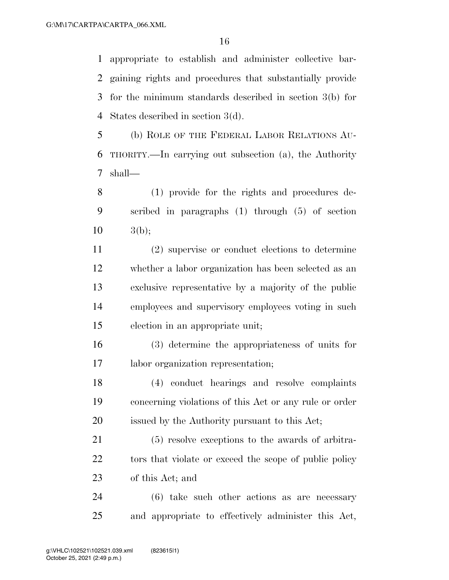appropriate to establish and administer collective bar- gaining rights and procedures that substantially provide for the minimum standards described in section 3(b) for States described in section 3(d).

 (b) ROLE OF THE FEDERAL LABOR RELATIONS AU- THORITY.—In carrying out subsection (a), the Authority shall—

 (1) provide for the rights and procedures de- scribed in paragraphs (1) through (5) of section  $10 \t3(b)$ ;

 (2) supervise or conduct elections to determine whether a labor organization has been selected as an exclusive representative by a majority of the public employees and supervisory employees voting in such election in an appropriate unit;

 (3) determine the appropriateness of units for labor organization representation;

 (4) conduct hearings and resolve complaints concerning violations of this Act or any rule or order issued by the Authority pursuant to this Act;

 (5) resolve exceptions to the awards of arbitra-22 tors that violate or exceed the scope of public policy of this Act; and

 (6) take such other actions as are necessary and appropriate to effectively administer this Act,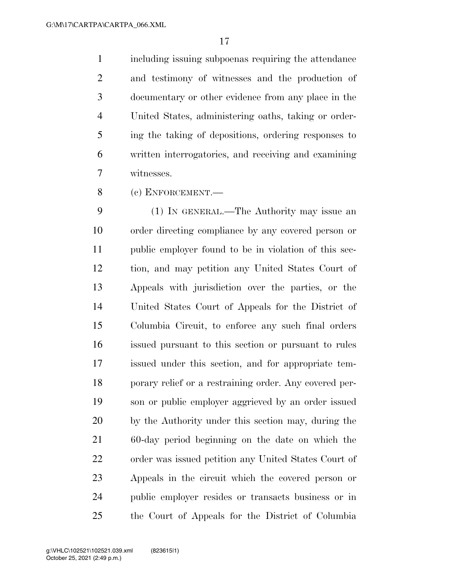including issuing subpoenas requiring the attendance and testimony of witnesses and the production of documentary or other evidence from any place in the United States, administering oaths, taking or order- ing the taking of depositions, ordering responses to written interrogatories, and receiving and examining witnesses.

(c) ENFORCEMENT.—

 (1) IN GENERAL.—The Authority may issue an order directing compliance by any covered person or public employer found to be in violation of this sec- tion, and may petition any United States Court of Appeals with jurisdiction over the parties, or the United States Court of Appeals for the District of Columbia Circuit, to enforce any such final orders issued pursuant to this section or pursuant to rules issued under this section, and for appropriate tem- porary relief or a restraining order. Any covered per- son or public employer aggrieved by an order issued by the Authority under this section may, during the 60-day period beginning on the date on which the order was issued petition any United States Court of Appeals in the circuit which the covered person or public employer resides or transacts business or in the Court of Appeals for the District of Columbia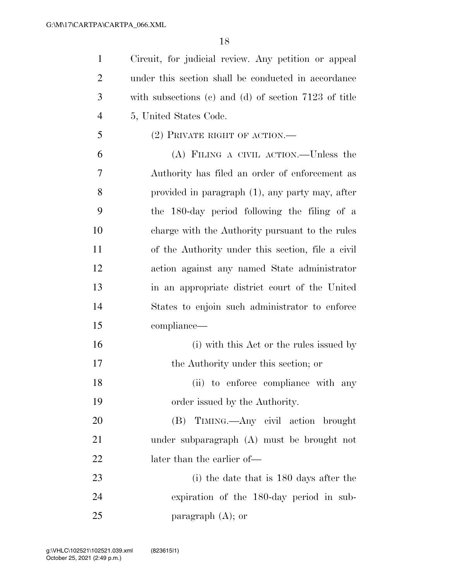Circuit, for judicial review. Any petition or appeal under this section shall be conducted in accordance with subsections (c) and (d) of section 7123 of title 5, United States Code. (2) PRIVATE RIGHT OF ACTION.— (A) FILING A CIVIL ACTION.—Unless the

 Authority has filed an order of enforcement as provided in paragraph (1), any party may, after the 180-day period following the filing of a charge with the Authority pursuant to the rules of the Authority under this section, file a civil action against any named State administrator in an appropriate district court of the United States to enjoin such administrator to enforce compliance—

16 (i) with this Act or the rules issued by the Authority under this section; or 18 (ii) to enforce compliance with any order issued by the Authority.

 (B) TIMING.—Any civil action brought under subparagraph (A) must be brought not 22 later than the earlier of—

 (i) the date that is 180 days after the expiration of the 180-day period in sub-paragraph (A); or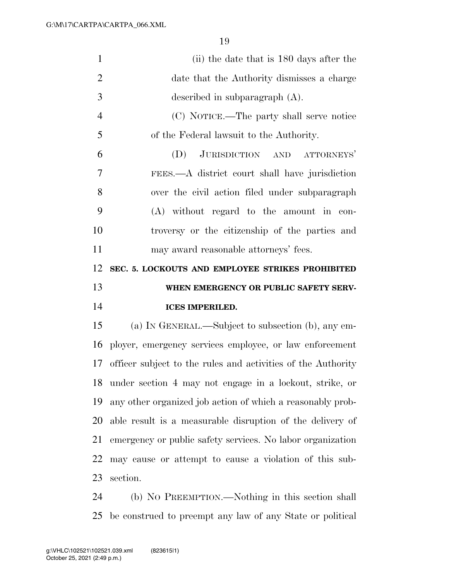| $\mathbf{1}$   | (ii) the date that is 180 days after the                     |
|----------------|--------------------------------------------------------------|
| $\overline{2}$ | date that the Authority dismisses a charge                   |
| 3              | described in subparagraph $(A)$ .                            |
| $\overline{4}$ | (C) NOTICE.—The party shall serve notice                     |
| 5              | of the Federal lawsuit to the Authority.                     |
| 6              | JURISDICTION AND ATTORNEYS'<br>(D)                           |
| 7              | FEES.—A district court shall have jurisdiction               |
| 8              | over the civil action filed under subparagraph               |
| 9              | (A) without regard to the amount in con-                     |
| 10             | troversy or the citizenship of the parties and               |
| 11             | may award reasonable attorneys' fees.                        |
| 12             | SEC. 5. LOCKOUTS AND EMPLOYEE STRIKES PROHIBITED             |
|                |                                                              |
| 13             | WHEN EMERGENCY OR PUBLIC SAFETY SERV-                        |
| 14             | <b>ICES IMPERILED.</b>                                       |
| 15             | (a) IN GENERAL.—Subject to subsection (b), any em-           |
| 16             | ployer, emergency services employee, or law enforcement      |
| 17             | officer subject to the rules and activities of the Authority |
| 18             | under section 4 may not engage in a lockout, strike, or      |
| 19             | any other organized job action of which a reasonably prob-   |
| 20             | able result is a measurable disruption of the delivery of    |
| 21             | emergency or public safety services. No labor organization   |
| 22             | may cause or attempt to cause a violation of this sub-       |
| 23             | section.                                                     |

 (b) NO PREEMPTION.—Nothing in this section shall be construed to preempt any law of any State or political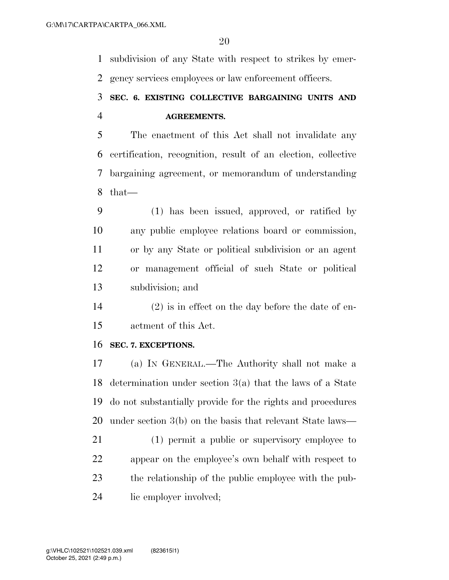subdivision of any State with respect to strikes by emer-gency services employees or law enforcement officers.

# **SEC. 6. EXISTING COLLECTIVE BARGAINING UNITS AND AGREEMENTS.**

 The enactment of this Act shall not invalidate any certification, recognition, result of an election, collective bargaining agreement, or memorandum of understanding that—

 (1) has been issued, approved, or ratified by any public employee relations board or commission, or by any State or political subdivision or an agent or management official of such State or political subdivision; and

 (2) is in effect on the day before the date of en-actment of this Act.

#### **SEC. 7. EXCEPTIONS.**

 (a) IN GENERAL.—The Authority shall not make a determination under section 3(a) that the laws of a State do not substantially provide for the rights and procedures under section 3(b) on the basis that relevant State laws—

 (1) permit a public or supervisory employee to appear on the employee's own behalf with respect to the relationship of the public employee with the pub-lic employer involved;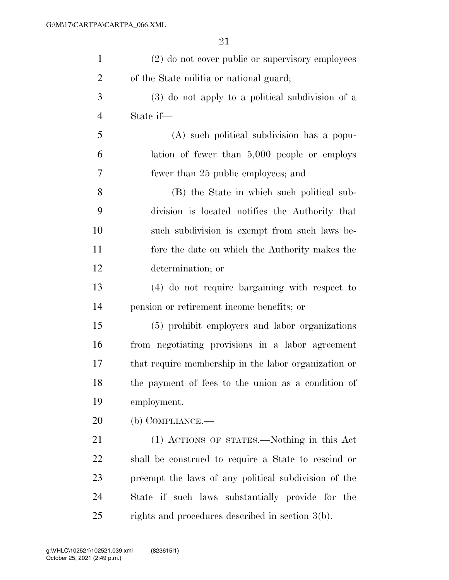| $\mathbf{1}$   | (2) do not cover public or supervisory employees     |
|----------------|------------------------------------------------------|
| $\overline{2}$ | of the State militia or national guard;              |
| 3              | (3) do not apply to a political subdivision of a     |
| $\overline{4}$ | State if—                                            |
| 5              | (A) such political subdivision has a popu-           |
| 6              | lation of fewer than $5,000$ people or employs       |
| 7              | fewer than 25 public employees; and                  |
| 8              | (B) the State in which such political sub-           |
| 9              | division is located notifies the Authority that      |
| 10             | such subdivision is exempt from such laws be-        |
| 11             | fore the date on which the Authority makes the       |
| 12             | determination; or                                    |
| 13             | (4) do not require bargaining with respect to        |
| 14             | pension or retirement income benefits; or            |
| 15             | (5) prohibit employers and labor organizations       |
| 16             | from negotiating provisions in a labor agreement     |
| 17             | that require membership in the labor organization or |
| 18             | the payment of fees to the union as a condition of   |
| 19             | employment.                                          |
| 20             | $(b)$ COMPLIANCE.—                                   |
| 21             | (1) ACTIONS OF STATES.—Nothing in this Act           |
| 22             | shall be construed to require a State to rescind or  |
| 23             | preempt the laws of any political subdivision of the |
| 24             | State if such laws substantially provide for the     |
| 25             | rights and procedures described in section 3(b).     |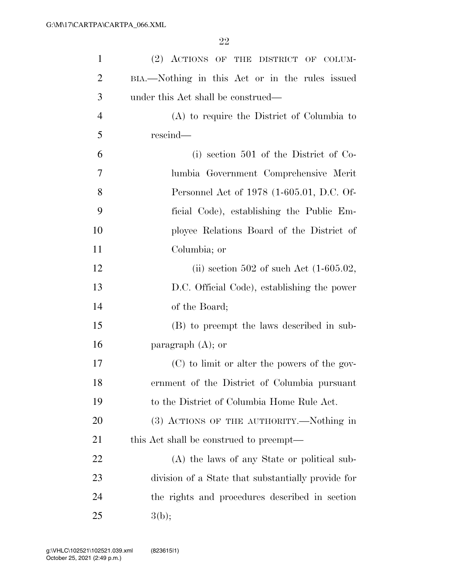| $\mathbf{1}$   | (2) ACTIONS OF THE DISTRICT OF COLUM-              |
|----------------|----------------------------------------------------|
| $\overline{2}$ | BIA.—Nothing in this Act or in the rules issued    |
| 3              | under this Act shall be construed—                 |
| $\overline{4}$ | (A) to require the District of Columbia to         |
| 5              | rescind—                                           |
| 6              | (i) section 501 of the District of Co-             |
| 7              | lumbia Government Comprehensive Merit              |
| 8              | Personnel Act of 1978 (1-605.01, D.C. Of-          |
| 9              | ficial Code), establishing the Public Em-          |
| 10             | ployee Relations Board of the District of          |
| 11             | Columbia; or                                       |
| 12             | (ii) section 502 of such Act $(1-605.02,$          |
| 13             | D.C. Official Code), establishing the power        |
| 14             | of the Board;                                      |
| 15             | (B) to preempt the laws described in sub-          |
| 16             | paragraph $(A)$ ; or                               |
| 17             | (C) to limit or alter the powers of the gov-       |
| 18             | ernment of the District of Columbia pursuant       |
| 19             | to the District of Columbia Home Rule Act.         |
| 20             | (3) ACTIONS OF THE AUTHORITY.—Nothing in           |
| 21             | this Act shall be construed to preempt—            |
| 22             | (A) the laws of any State or political sub-        |
| 23             | division of a State that substantially provide for |
| 24             | the rights and procedures described in section     |
| 25             | 3(b);                                              |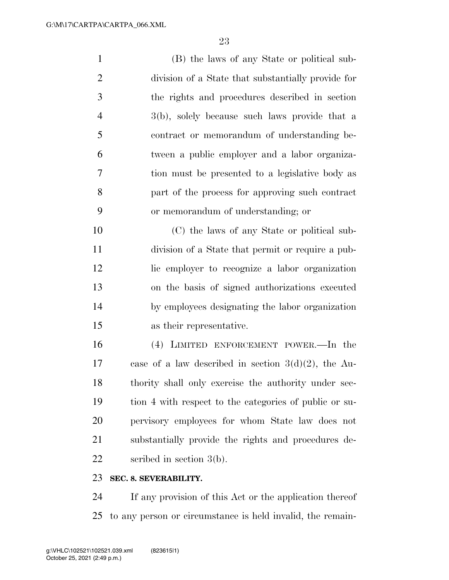(B) the laws of any State or political sub- division of a State that substantially provide for the rights and procedures described in section 3(b), solely because such laws provide that a contract or memorandum of understanding be- tween a public employer and a labor organiza- tion must be presented to a legislative body as part of the process for approving such contract or memorandum of understanding; or (C) the laws of any State or political sub-

 division of a State that permit or require a pub- lic employer to recognize a labor organization on the basis of signed authorizations executed by employees designating the labor organization as their representative.

 (4) LIMITED ENFORCEMENT POWER.—In the case of a law described in section 3(d)(2), the Au- thority shall only exercise the authority under sec- tion 4 with respect to the categories of public or su- pervisory employees for whom State law does not substantially provide the rights and procedures de-scribed in section 3(b).

#### **SEC. 8. SEVERABILITY.**

 If any provision of this Act or the application thereof to any person or circumstance is held invalid, the remain